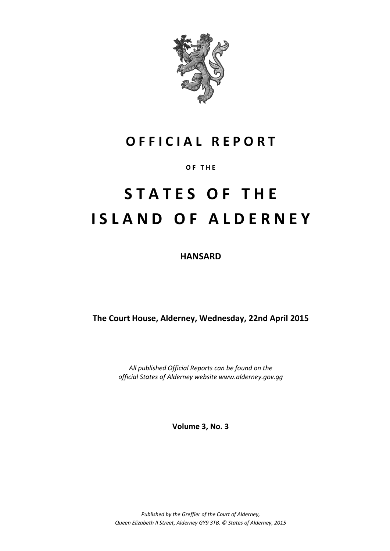

# **O F F I C I A L R E P O R T**

# **O F T H E**

# **S T A T E S O F T H E I S L A N D O F A L D E R N E Y**

**HANSARD**

**The Court House, Alderney, Wednesday, 22nd April 2015**

*All published Official Reports can be found on the official States of Alderney website www.alderney.gov.gg*

**Volume 3, No. 3**

*Published by the Greffier of the Court of Alderney, Queen Elizabeth II Street, Alderney GY9 3TB. © States of Alderney, 2015*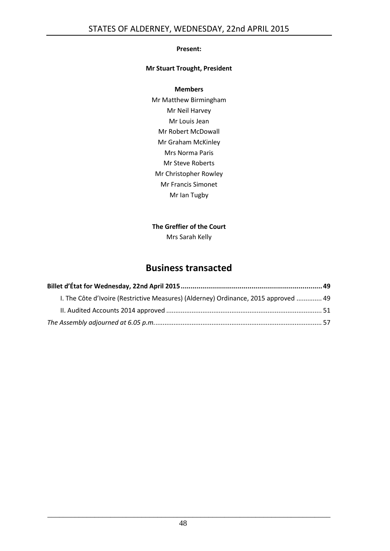#### **Present:**

#### **Mr Stuart Trought, President**

#### **Members**

Mr Matthew Birmingham Mr Neil Harvey Mr Louis Jean Mr Robert McDowall Mr Graham McKinley Mrs Norma Paris Mr Steve Roberts Mr Christopher Rowley Mr Francis Simonet Mr Ian Tugby

## **The Greffier of the Court**

Mrs Sarah Kelly

# **Business transacted**

| 1. The Côte d'Ivoire (Restrictive Measures) (Alderney) Ordinance, 2015 approved  49 |  |
|-------------------------------------------------------------------------------------|--|
|                                                                                     |  |
|                                                                                     |  |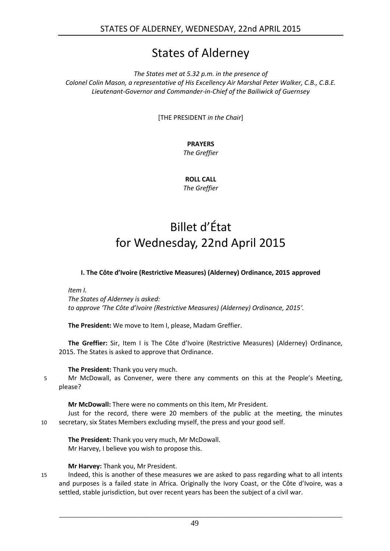# States of Alderney

*The States met at 5.32 p.m. in the presence of Colonel Colin Mason, a representative of His Excellency Air Marshal Peter Walker, C.B., C.B.E. Lieutenant-Governor and Commander-in-Chief of the Bailiwick of Guernsey*

[THE PRESIDENT *in the Chair*]

# **PRAYERS**

*The Greffier*

**ROLL CALL** *The Greffier*

# Billet d'État for Wednesday, 22nd April 2015

#### <span id="page-2-0"></span>**I. The Côte d'Ivoire (Restrictive Measures) (Alderney) Ordinance, 2015 approved**

<span id="page-2-1"></span>*Item I.*

*The States of Alderney is asked: to approve 'The Côte d'Ivoire (Restrictive Measures) (Alderney) Ordinance, 2015'.*

**The President:** We move to Item I, please, Madam Greffier.

**The Greffier:** Sir, Item I is The Côte d'Ivoire (Restrictive Measures) (Alderney) Ordinance, 2015. The States is asked to approve that Ordinance.

## **The President:** Thank you very much.

5 Mr McDowall, as Convener, were there any comments on this at the People's Meeting, please?

**Mr McDowall:** There were no comments on this Item, Mr President.

Just for the record, there were 20 members of the public at the meeting, the minutes 10 secretary, six States Members excluding myself, the press and your good self.

**The President:** Thank you very much, Mr McDowall. Mr Harvey, I believe you wish to propose this.

#### **Mr Harvey:** Thank you, Mr President.

15 Indeed, this is another of these measures we are asked to pass regarding what to all intents and purposes is a failed state in Africa. Originally the Ivory Coast, or the Côte d'Ivoire, was a settled, stable jurisdiction, but over recent years has been the subject of a civil war.

49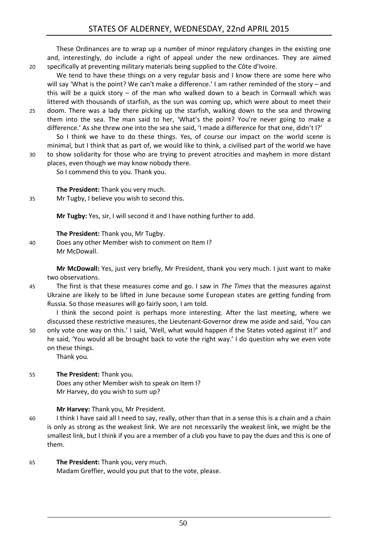These Ordinances are to wrap up a number of minor regulatory changes in the existing one and, interestingly, do include a right of appeal under the new ordinances. They are aimed 20 specifically at preventing military materials being supplied to the Côte d'Ivoire.

- We tend to have these things on a very regular basis and I know there are some here who will say 'What is the point? We can't make a difference.' I am rather reminded of the story – and this will be a quick story – of the man who walked down to a beach in Cornwall which was littered with thousands of starfish, as the sun was coming up, which were about to meet their
- 25 doom. There was a lady there picking up the starfish, walking down to the sea and throwing them into the sea. The man said to her, 'What's the point? You're never going to make a difference.' As she threw one into the sea she said, 'I made a difference for that one, didn't I?' So I think we have to do these things. Yes, of course our impact on the world scene is

minimal, but I think that as part of, we would like to think, a civilised part of the world we have 30 to show solidarity for those who are trying to prevent atrocities and mayhem in more distant places, even though we may know nobody there.

So I commend this to you. Thank you.

**The President:** Thank you very much.

35 Mr Tugby, I believe you wish to second this.

**Mr Tugby:** Yes, sir, I will second it and I have nothing further to add.

**The President:** Thank you, Mr Tugby.

40 Does any other Member wish to comment on Item I? Mr McDowall.

> **Mr McDowall:** Yes, just very briefly, Mr President, thank you very much. I just want to make two observations.

45 The first is that these measures come and go. I saw in *The Times* that the measures against Ukraine are likely to be lifted in June because some European states are getting funding from Russia. So those measures will go fairly soon, I am told.

I think the second point is perhaps more interesting. After the last meeting, where we discussed these restrictive measures, the Lieutenant-Governor drew me aside and said, 'You can 50 only vote one way on this.' I said, 'Well, what would happen if the States voted against it?' and he said, 'You would all be brought back to vote the right way.' I do question why we even vote on these things.

Thank you.

55 **The President:** Thank you. Does any other Member wish to speak on Item I? Mr Harvey, do you wish to sum up?

## **Mr Harvey:** Thank you, Mr President.

- 60 I think I have said all I need to say, really, other than that in a sense this is a chain and a chain is only as strong as the weakest link. We are not necessarily the weakest link, we might be the smallest link, but I think if you are a member of a club you have to pay the dues and this is one of them.
- 65 **The President:** Thank you, very much. Madam Greffier, would you put that to the vote, please.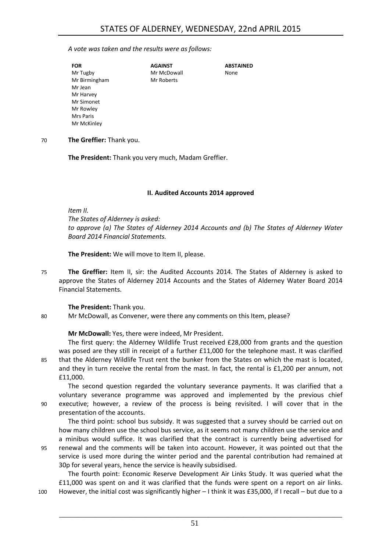#### *A vote was taken and the results were as follows:*

| <b>FOR</b>    | <b>AGAINST</b> | <b>ABSTAINED</b> |
|---------------|----------------|------------------|
| Mr Tugby      | Mr McDowall    | None             |
| Mr Birmingham | Mr Roberts     |                  |
| Mr Jean       |                |                  |
| Mr Harvey     |                |                  |
| Mr Simonet    |                |                  |
| Mr Rowley     |                |                  |
| Mrs Paris     |                |                  |
| Mr McKinley   |                |                  |

70 **The Greffier:** Thank you.

**The President:** Thank you very much, Madam Greffier.

#### **II. Audited Accounts 2014 approved**

<span id="page-4-0"></span>*Item II.*

*The States of Alderney is asked: to approve (a) The States of Alderney 2014 Accounts and (b) The States of Alderney Water Board 2014 Financial Statements.*

**The President:** We will move to Item II, please.

75 **The Greffier:** Item II, sir: the Audited Accounts 2014. The States of Alderney is asked to approve the States of Alderney 2014 Accounts and the States of Alderney Water Board 2014 Financial Statements.

**The President:** Thank you.

80 Mr McDowall, as Convener, were there any comments on this Item, please?

**Mr McDowall:** Yes, there were indeed, Mr President.

The first query: the Alderney Wildlife Trust received £28,000 from grants and the question was posed are they still in receipt of a further £11,000 for the telephone mast. It was clarified 85 that the Alderney Wildlife Trust rent the bunker from the States on which the mast is located, and they in turn receive the rental from the mast. In fact, the rental is £1,200 per annum, not £11,000.

The second question regarded the voluntary severance payments. It was clarified that a voluntary severance programme was approved and implemented by the previous chief 90 executive; however, a review of the process is being revisited. I will cover that in the presentation of the accounts.

The third point: school bus subsidy. It was suggested that a survey should be carried out on how many children use the school bus service, as it seems not many children use the service and a minibus would suffice. It was clarified that the contract is currently being advertised for 95 renewal and the comments will be taken into account. However, it was pointed out that the service is used more during the winter period and the parental contribution had remained at 30p for several years, hence the service is heavily subsidised.

The fourth point: Economic Reserve Development Air Links Study. It was queried what the £11,000 was spent on and it was clarified that the funds were spent on a report on air links. 100 However, the initial cost was significantly higher – I think it was £35,000, if I recall – but due to a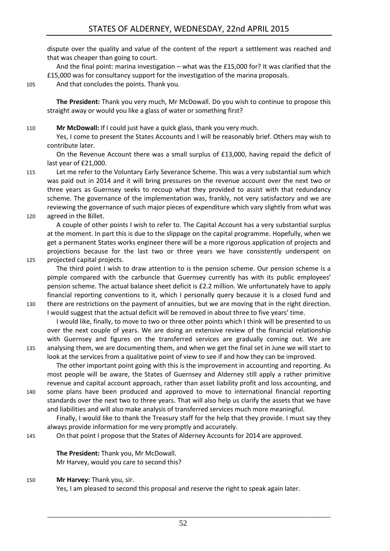dispute over the quality and value of the content of the report a settlement was reached and that was cheaper than going to court.

And the final point: marina investigation – what was the £15,000 for? It was clarified that the £15,000 was for consultancy support for the investigation of the marina proposals.

105 And that concludes the points. Thank you.

**The President:** Thank you very much, Mr McDowall. Do you wish to continue to propose this straight away or would you like a glass of water or something first?

110 **Mr McDowall:** If I could just have a quick glass, thank you very much.

Yes, I come to present the States Accounts and I will be reasonably brief. Others may wish to contribute later.

On the Revenue Account there was a small surplus of £13,000, having repaid the deficit of last year of £21,000.

115 Let me refer to the Voluntary Early Severance Scheme. This was a very substantial sum which was paid out in 2014 and it will bring pressures on the revenue account over the next two or three years as Guernsey seeks to recoup what they provided to assist with that redundancy scheme. The governance of the implementation was, frankly, not very satisfactory and we are reviewing the governance of such major pieces of expenditure which vary slightly from what was 120 agreed in the Billet.

A couple of other points I wish to refer to. The Capital Account has a very substantial surplus at the moment. In part this is due to the slippage on the capital programme. Hopefully, when we get a permanent States works engineer there will be a more rigorous application of projects and projections because for the last two or three years we have consistently underspent on 125 projected capital projects.

- The third point I wish to draw attention to is the pension scheme. Our pension scheme is a pimple compared with the carbuncle that Guernsey currently has with its public employees' pension scheme. The actual balance sheet deficit is £2.2 million. We unfortunately have to apply financial reporting conventions to it, which I personally query because it is a closed fund and
- 130 there are restrictions on the payment of annuities, but we are moving that in the right direction. I would suggest that the actual deficit will be removed in about three to five years' time.

I would like, finally, to move to two or three other points which I think will be presented to us over the next couple of years. We are doing an extensive review of the financial relationship with Guernsey and figures on the transferred services are gradually coming out. We are 135 analysing them, we are documenting them, and when we get the final set in June we will start to look at the services from a qualitative point of view to see if and how they can be improved.

The other important point going with this is the improvement in accounting and reporting. As most people will be aware, the States of Guernsey and Alderney still apply a rather primitive revenue and capital account approach, rather than asset liability profit and loss accounting, and

140 some plans have been produced and approved to move to international financial reporting standards over the next two to three years. That will also help us clarify the assets that we have and liabilities and will also make analysis of transferred services much more meaningful.

Finally, I would like to thank the Treasury staff for the help that they provide. I must say they always provide information for me very promptly and accurately.

145 On that point I propose that the States of Alderney Accounts for 2014 are approved.

**The President:** Thank you, Mr McDowall. Mr Harvey, would you care to second this?

150 **Mr Harvey:** Thank you, sir.

Yes, I am pleased to second this proposal and reserve the right to speak again later.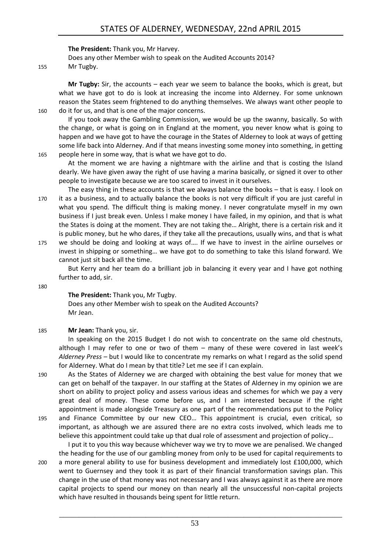#### **The President:** Thank you, Mr Harvey.

Does any other Member wish to speak on the Audited Accounts 2014? 155 Mr Tugby.

**Mr Tugby:** Sir, the accounts – each year we seem to balance the books, which is great, but what we have got to do is look at increasing the income into Alderney. For some unknown reason the States seem frightened to do anything themselves. We always want other people to 160 do it for us, and that is one of the major concerns.

If you took away the Gambling Commission, we would be up the swanny, basically. So with the change, or what is going on in England at the moment, you never know what is going to happen and we have got to have the courage in the States of Alderney to look at ways of getting some life back into Alderney. And if that means investing some money into something, in getting 165 people here in some way, that is what we have got to do.

At the moment we are having a nightmare with the airline and that is costing the Island dearly. We have given away the right of use having a marina basically, or signed it over to other people to investigate because we are too scared to invest in it ourselves.

The easy thing in these accounts is that we always balance the books – that is easy. I look on 170 it as a business, and to actually balance the books is not very difficult if you are just careful in what you spend. The difficult thing is making money. I never congratulate myself in my own business if I just break even. Unless I make money I have failed, in my opinion, and that is what the States is doing at the moment. They are not taking the… Alright, there is a certain risk and it is public money, but he who dares, if they take all the precautions, usually wins, and that is what

175 we should be doing and looking at ways of…. If we have to invest in the airline ourselves or invest in shipping or something… we have got to do something to take this Island forward. We cannot just sit back all the time.

But Kerry and her team do a brilliant job in balancing it every year and I have got nothing further to add, sir.

180

#### **The President:** Thank you, Mr Tugby.

Does any other Member wish to speak on the Audited Accounts? Mr Jean.

#### 185 **Mr Jean:** Thank you, sir.

In speaking on the 2015 Budget I do not wish to concentrate on the same old chestnuts, although I may refer to one or two of them – many of these were covered in last week's *Alderney Press* – but I would like to concentrate my remarks on what I regard as the solid spend for Alderney. What do I mean by that title? Let me see if I can explain.

190 As the States of Alderney we are charged with obtaining the best value for money that we can get on behalf of the taxpayer. In our staffing at the States of Alderney in my opinion we are short on ability to project policy and assess various ideas and schemes for which we pay a very great deal of money. These come before us, and I am interested because if the right appointment is made alongside Treasury as one part of the recommendations put to the Policy 195 and Finance Committee by our new CEO… This appointment is crucial, even critical, so important, as although we are assured there are no extra costs involved, which leads me to believe this appointment could take up that dual role of assessment and projection of policy…

I put it to you this way because whichever way we try to move we are penalised. We changed the heading for the use of our gambling money from only to be used for capital requirements to 200 a more general ability to use for business development and immediately lost £100,000, which went to Guernsey and they took it as part of their financial transformation savings plan. This change in the use of that money was not necessary and I was always against it as there are more capital projects to spend our money on than nearly all the unsuccessful non-capital projects which have resulted in thousands being spent for little return.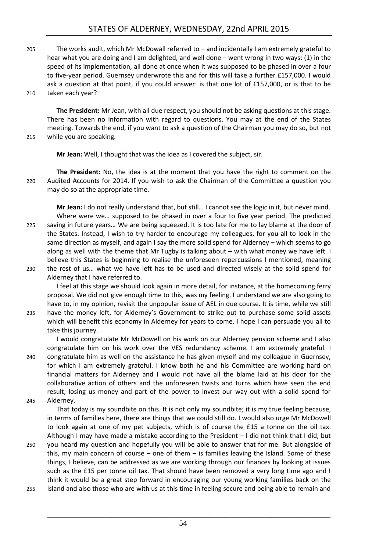# STATES OF ALDERNEY, WEDNESDAY, 22nd APRIL 2015

205 The works audit, which Mr McDowall referred to – and incidentally I am extremely grateful to hear what you are doing and I am delighted, and well done – went wrong in two ways: (1) in the speed of its implementation, all done at once when it was supposed to be phased in over a four to five-year period. Guernsey underwrote this and for this will take a further £157,000. I would ask a question at that point, if you could answer: is that one lot of £157,000, or is that to be 210 taken each year?

**The President:** Mr Jean, with all due respect, you should not be asking questions at this stage. There has been no information with regard to questions. You may at the end of the States meeting. Towards the end, if you want to ask a question of the Chairman you may do so, but not

215 while you are speaking.

**Mr Jean:** Well, I thought that was the idea as I covered the subject, sir.

**The President:** No, the idea is at the moment that you have the right to comment on the 220 Audited Accounts for 2014. If you wish to ask the Chairman of the Committee a question you may do so at the appropriate time.

**Mr Jean:** I do not really understand that, but still… I cannot see the logic in it, but never mind. Where were we… supposed to be phased in over a four to five year period. The predicted 225 saving in future years… We are being squeezed. It is too late for me to lay blame at the door of the States. Instead, I wish to try harder to encourage my colleagues, for you all to look in the same direction as myself, and again I say the more solid spend for Alderney – which seems to go along as well with the theme that Mr Tugby is talking about – with what money we have left. I believe this States is beginning to realise the unforeseen repercussions I mentioned, meaning 230 the rest of us… what we have left has to be used and directed wisely at the solid spend for

Alderney that I have referred to. I feel at this stage we should look again in more detail, for instance, at the homecoming ferry proposal. We did not give enough time to this, was my feeling. I understand we are also going to have to, in my opinion, revisit the unpopular issue of AEL in due course. It is time, while we still

235 have the money left, for Alderney's Government to strike out to purchase some solid assets which will benefit this economy in Alderney for years to come. I hope I can persuade you all to take this journey.

I would congratulate Mr McDowell on his work on our Alderney pension scheme and I also congratulate him on his work over the VES redundancy scheme. I am extremely grateful. I 240 congratulate him as well on the assistance he has given myself and my colleague in Guernsey, for which I am extremely grateful. I know both he and his Committee are working hard on

financial matters for Alderney and I would not have all the blame laid at his door for the collaborative action of others and the unforeseen twists and turns which have seen the end result, losing us money and part of the power to invest our way out with a solid spend for 245 Alderney.

That today is my soundbite on this. It is not only my soundbite; it is my true feeling because, in terms of families here, there are things that we could still do. I would also urge Mr McDowell to look again at one of my pet subjects, which is of course the £15 a tonne on the oil tax. Although I may have made a mistake according to the President – I did not think that I did, but

- 250 you heard my question and hopefully you will be able to answer that for me. But alongside of this, my main concern of course – one of them – is families leaving the Island. Some of these things, I believe, can be addressed as we are working through our finances by looking at issues such as the £15 per tonne oil tax. That should have been removed a very long time ago and I think it would be a great step forward in encouraging our young working families back on the
- 255 Island and also those who are with us at this time in feeling secure and being able to remain and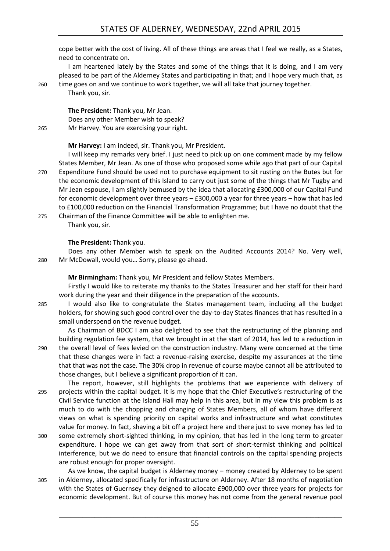cope better with the cost of living. All of these things are areas that I feel we really, as a States, need to concentrate on.

I am heartened lately by the States and some of the things that it is doing, and I am very pleased to be part of the Alderney States and participating in that; and I hope very much that, as 260 time goes on and we continue to work together, we will all take that journey together.

**The President:** Thank you, Mr Jean. Does any other Member wish to speak? 265 Mr Harvey. You are exercising your right.

**Mr Harvey:** I am indeed, sir. Thank you, Mr President.

I will keep my remarks very brief. I just need to pick up on one comment made by my fellow States Member, Mr Jean. As one of those who proposed some while ago that part of our Capital 270 Expenditure Fund should be used not to purchase equipment to sit rusting on the Butes but for the economic development of this Island to carry out just some of the things that Mr Tugby and Mr Jean espouse, I am slightly bemused by the idea that allocating £300,000 of our Capital Fund for economic development over three years – £300,000 a year for three years – how that has led to £100,000 reduction on the Financial Transformation Programme; but I have no doubt that the 275 Chairman of the Finance Committee will be able to enlighten me.

Thank you, sir.

Thank you, sir.

#### **The President:** Thank you.

Does any other Member wish to speak on the Audited Accounts 2014? No. Very well, 280 Mr McDowall, would you… Sorry, please go ahead.

**Mr Birmingham:** Thank you, Mr President and fellow States Members.

Firstly I would like to reiterate my thanks to the States Treasurer and her staff for their hard work during the year and their diligence in the preparation of the accounts.

285 I would also like to congratulate the States management team, including all the budget holders, for showing such good control over the day-to-day States finances that has resulted in a small underspend on the revenue budget.

As Chairman of BDCC I am also delighted to see that the restructuring of the planning and building regulation fee system, that we brought in at the start of 2014, has led to a reduction in 290 the overall level of fees levied on the construction industry. Many were concerned at the time that these changes were in fact a revenue-raising exercise, despite my assurances at the time that that was not the case. The 30% drop in revenue of course maybe cannot all be attributed to those changes, but I believe a significant proportion of it can.

The report, however, still highlights the problems that we experience with delivery of 295 projects within the capital budget. It is my hope that the Chief Executive's restructuring of the Civil Service function at the Island Hall may help in this area, but in my view this problem is as much to do with the chopping and changing of States Members, all of whom have different views on what is spending priority on capital works and infrastructure and what constitutes value for money. In fact, shaving a bit off a project here and there just to save money has led to

- 300 some extremely short-sighted thinking, in my opinion, that has led in the long term to greater expenditure. I hope we can get away from that sort of short-termist thinking and political interference, but we do need to ensure that financial controls on the capital spending projects are robust enough for proper oversight.
- As we know, the capital budget is Alderney money money created by Alderney to be spent 305 in Alderney, allocated specifically for infrastructure on Alderney. After 18 months of negotiation with the States of Guernsey they deigned to allocate £900,000 over three years for projects for economic development. But of course this money has not come from the general revenue pool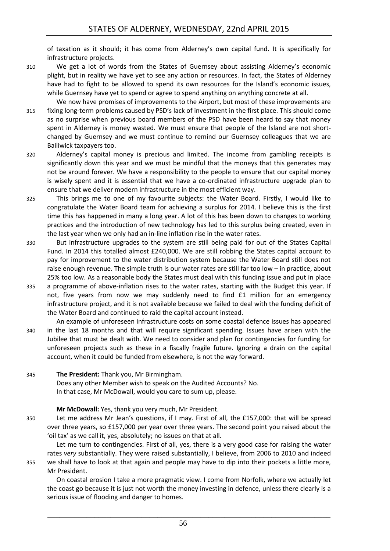of taxation as it should; it has come from Alderney's own capital fund. It is specifically for infrastructure projects.

310 We get a lot of words from the States of Guernsey about assisting Alderney's economic plight, but in reality we have yet to see any action or resources. In fact, the States of Alderney have had to fight to be allowed to spend its own resources for the Island's economic issues, while Guernsey have yet to spend or agree to spend anything on anything concrete at all.

We now have promises of improvements to the Airport, but most of these improvements are 315 fixing long-term problems caused by PSD's lack of investment in the first place. This should come as no surprise when previous board members of the PSD have been heard to say that money spent in Alderney is money wasted. We must ensure that people of the Island are not shortchanged by Guernsey and we must continue to remind our Guernsey colleagues that we are Bailiwick taxpayers too.

- 320 Alderney's capital money is precious and limited. The income from gambling receipts is significantly down this year and we must be mindful that the moneys that this generates may not be around forever. We have a responsibility to the people to ensure that our capital money is wisely spent and it is essential that we have a co-ordinated infrastructure upgrade plan to ensure that we deliver modern infrastructure in the most efficient way.
- 325 This brings me to one of my favourite subjects: the Water Board. Firstly, I would like to congratulate the Water Board team for achieving a surplus for 2014. I believe this is the first time this has happened in many a long year. A lot of this has been down to changes to working practices and the introduction of new technology has led to this surplus being created, even in the last year when we only had an in-line inflation rise in the water rates.
- 330 But infrastructure upgrades to the system are still being paid for out of the States Capital Fund. In 2014 this totalled almost £240,000. We are still robbing the States capital account to pay for improvement to the water distribution system because the Water Board still does not raise enough revenue. The simple truth is our water rates are still far too low – in practice, about 25% too low. As a reasonable body the States must deal with this funding issue and put in place
- 335 a programme of above-inflation rises to the water rates, starting with the Budget this year. If not, five years from now we may suddenly need to find £1 million for an emergency infrastructure project, and it is not available because we failed to deal with the funding deficit of the Water Board and continued to raid the capital account instead.
- An example of unforeseen infrastructure costs on some coastal defence issues has appeared 340 in the last 18 months and that will require significant spending. Issues have arisen with the Jubilee that must be dealt with. We need to consider and plan for contingencies for funding for unforeseen projects such as these in a fiscally fragile future. Ignoring a drain on the capital account, when it could be funded from elsewhere, is not the way forward.
- 345 **The President:** Thank you, Mr Birmingham. Does any other Member wish to speak on the Audited Accounts? No. In that case, Mr McDowall, would you care to sum up, please.

#### **Mr McDowall:** Yes, thank you very much, Mr President.

350 Let me address Mr Jean's questions, if I may. First of all, the £157,000: that will be spread over three years, so £157,000 per year over three years. The second point you raised about the 'oil tax' as we call it, yes, absolutely; no issues on that at all.

Let me turn to contingencies. First of all, yes, there is a very good case for raising the water rates *very* substantially. They were raised substantially, I believe, from 2006 to 2010 and indeed 355 we shall have to look at that again and people may have to dip into their pockets a little more, Mr President.

On coastal erosion I take a more pragmatic view. I come from Norfolk, where we actually let the coast go because it is just not worth the money investing in defence, unless there clearly is a serious issue of flooding and danger to homes.